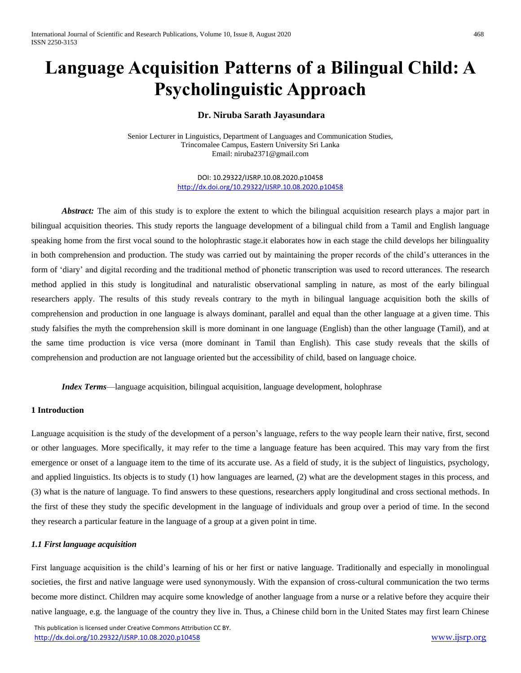# **Language Acquisition Patterns of a Bilingual Child: A Psycholinguistic Approach**

# **Dr. Niruba Sarath Jayasundara**

Senior Lecturer in Linguistics, Department of Languages and Communication Studies, Trincomalee Campus, Eastern University Sri Lanka Email: niruba2371@gmail.com

> DOI: 10.29322/IJSRP.10.08.2020.p10458 <http://dx.doi.org/10.29322/IJSRP.10.08.2020.p10458>

*Abstract:* The aim of this study is to explore the extent to which the bilingual acquisition research plays a major part in bilingual acquisition theories. This study reports the language development of a bilingual child from a Tamil and English language speaking home from the first vocal sound to the holophrastic stage.it elaborates how in each stage the child develops her bilinguality in both comprehension and production. The study was carried out by maintaining the proper records of the child's utterances in the form of 'diary' and digital recording and the traditional method of phonetic transcription was used to record utterances. The research method applied in this study is longitudinal and naturalistic observational sampling in nature, as most of the early bilingual researchers apply. The results of this study reveals contrary to the myth in bilingual language acquisition both the skills of comprehension and production in one language is always dominant, parallel and equal than the other language at a given time. This study falsifies the myth the comprehension skill is more dominant in one language (English) than the other language (Tamil), and at the same time production is vice versa (more dominant in Tamil than English). This case study reveals that the skills of comprehension and production are not language oriented but the accessibility of child, based on language choice.

*Index Terms*—language acquisition, bilingual acquisition, language development, holophrase

# **1 Introduction**

Language acquisition is the study of the development of a person's language, refers to the way people learn their native, first, second or other languages. More specifically, it may refer to the time a language feature has been acquired. This may vary from the first emergence or onset of a language item to the time of its accurate use. As a field of study, it is the subject of linguistics, psychology, and applied linguistics. Its objects is to study (1) how languages are learned, (2) what are the development stages in this process, and (3) what is the nature of language. To find answers to these questions, researchers apply longitudinal and cross sectional methods. In the first of these they study the specific development in the language of individuals and group over a period of time. In the second they research a particular feature in the language of a group at a given point in time.

# *1.1 First language acquisition*

First language acquisition is the child's learning of his or her first or native language. Traditionally and especially in monolingual societies, the first and native language were used synonymously. With the expansion of cross-cultural communication the two terms become more distinct. Children may acquire some knowledge of another language from a nurse or a relative before they acquire their native language, e.g. the language of the country they live in. Thus, a Chinese child born in the United States may first learn Chinese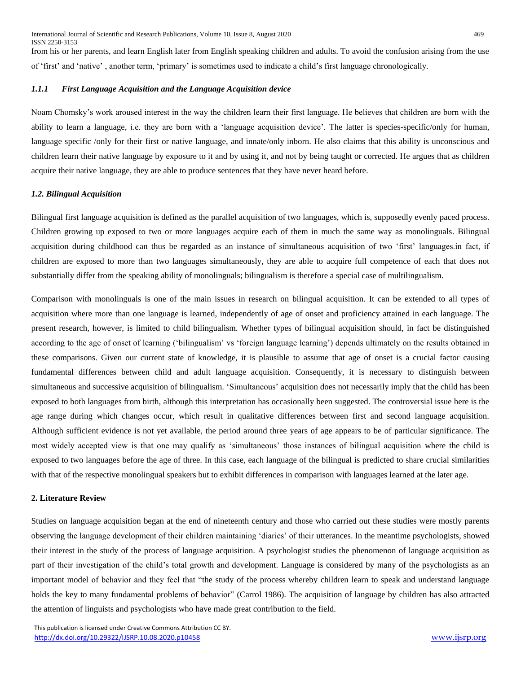from his or her parents, and learn English later from English speaking children and adults. To avoid the confusion arising from the use of 'first' and 'native' , another term, 'primary' is sometimes used to indicate a child's first language chronologically.

## *1.1.1 First Language Acquisition and the Language Acquisition device*

Noam Chomsky's work aroused interest in the way the children learn their first language. He believes that children are born with the ability to learn a language, i.e. they are born with a 'language acquisition device'. The latter is species-specific/only for human, language specific /only for their first or native language, and innate/only inborn. He also claims that this ability is unconscious and children learn their native language by exposure to it and by using it, and not by being taught or corrected. He argues that as children acquire their native language, they are able to produce sentences that they have never heard before.

#### *1.2. Bilingual Acquisition*

Bilingual first language acquisition is defined as the parallel acquisition of two languages, which is, supposedly evenly paced process. Children growing up exposed to two or more languages acquire each of them in much the same way as monolinguals. Bilingual acquisition during childhood can thus be regarded as an instance of simultaneous acquisition of two 'first' languages.in fact, if children are exposed to more than two languages simultaneously, they are able to acquire full competence of each that does not substantially differ from the speaking ability of monolinguals; bilingualism is therefore a special case of multilingualism.

Comparison with monolinguals is one of the main issues in research on bilingual acquisition. It can be extended to all types of acquisition where more than one language is learned, independently of age of onset and proficiency attained in each language. The present research, however, is limited to child bilingualism. Whether types of bilingual acquisition should, in fact be distinguished according to the age of onset of learning ('bilingualism' vs 'foreign language learning') depends ultimately on the results obtained in these comparisons. Given our current state of knowledge, it is plausible to assume that age of onset is a crucial factor causing fundamental differences between child and adult language acquisition. Consequently, it is necessary to distinguish between simultaneous and successive acquisition of bilingualism. 'Simultaneous' acquisition does not necessarily imply that the child has been exposed to both languages from birth, although this interpretation has occasionally been suggested. The controversial issue here is the age range during which changes occur, which result in qualitative differences between first and second language acquisition. Although sufficient evidence is not yet available, the period around three years of age appears to be of particular significance. The most widely accepted view is that one may qualify as 'simultaneous' those instances of bilingual acquisition where the child is exposed to two languages before the age of three. In this case, each language of the bilingual is predicted to share crucial similarities with that of the respective monolingual speakers but to exhibit differences in comparison with languages learned at the later age.

#### **2. Literature Review**

Studies on language acquisition began at the end of nineteenth century and those who carried out these studies were mostly parents observing the language development of their children maintaining 'diaries' of their utterances. In the meantime psychologists, showed their interest in the study of the process of language acquisition. A psychologist studies the phenomenon of language acquisition as part of their investigation of the child's total growth and development. Language is considered by many of the psychologists as an important model of behavior and they feel that "the study of the process whereby children learn to speak and understand language holds the key to many fundamental problems of behavior" (Carrol 1986). The acquisition of language by children has also attracted the attention of linguists and psychologists who have made great contribution to the field.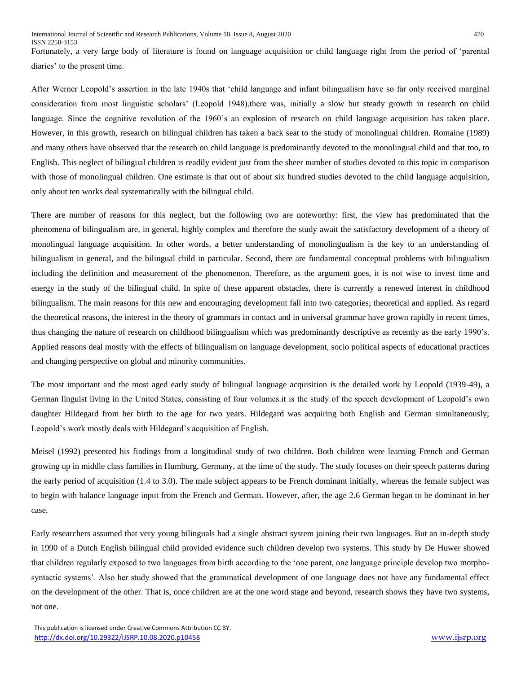Fortunately, a very large body of literature is found on language acquisition or child language right from the period of 'parental diaries' to the present time.

After Werner Leopold's assertion in the late 1940s that 'child language and infant bilingualism have so far only received marginal consideration from most linguistic scholars' (Leopold 1948),there was, initially a slow but steady growth in research on child language. Since the cognitive revolution of the 1960's an explosion of research on child language acquisition has taken place. However, in this growth, research on bilingual children has taken a back seat to the study of monolingual children. Romaine (1989) and many others have observed that the research on child language is predominantly devoted to the monolingual child and that too, to English. This neglect of bilingual children is readily evident just from the sheer number of studies devoted to this topic in comparison with those of monolingual children. One estimate is that out of about six hundred studies devoted to the child language acquisition, only about ten works deal systematically with the bilingual child.

There are number of reasons for this neglect, but the following two are noteworthy: first, the view has predominated that the phenomena of bilingualism are, in general, highly complex and therefore the study await the satisfactory development of a theory of monolingual language acquisition. In other words, a better understanding of monolingualism is the key to an understanding of bilingualism in general, and the bilingual child in particular. Second, there are fundamental conceptual problems with bilingualism including the definition and measurement of the phenomenon. Therefore, as the argument goes, it is not wise to invest time and energy in the study of the bilingual child. In spite of these apparent obstacles, there is currently a renewed interest in childhood bilingualism. The main reasons for this new and encouraging development fall into two categories; theoretical and applied. As regard the theoretical reasons, the interest in the theory of grammars in contact and in universal grammar have grown rapidly in recent times, thus changing the nature of research on childhood bilingualism which was predominantly descriptive as recently as the early 1990's. Applied reasons deal mostly with the effects of bilingualism on language development, socio political aspects of educational practices and changing perspective on global and minority communities.

The most important and the most aged early study of bilingual language acquisition is the detailed work by Leopold (1939-49), a German linguist living in the United States, consisting of four volumes.it is the study of the speech development of Leopold's own daughter Hildegard from her birth to the age for two years. Hildegard was acquiring both English and German simultaneously; Leopold's work mostly deals with Hildegard's acquisition of English.

Meisel (1992) presented his findings from a longitudinal study of two children. Both children were learning French and German growing up in middle class families in Humburg, Germany, at the time of the study. The study focuses on their speech patterns during the early period of acquisition (1.4 to 3.0). The male subject appears to be French dominant initially, whereas the female subject was to begin with balance language input from the French and German. However, after, the age 2.6 German began to be dominant in her case.

Early researchers assumed that very young bilinguals had a single abstract system joining their two languages. But an in-depth study in 1990 of a Dutch English bilingual child provided evidence such children develop two systems. This study by De Huwer showed that children regularly exposed to two languages from birth according to the 'one parent, one language principle develop two morphosyntactic systems'. Also her study showed that the grammatical development of one language does not have any fundamental effect on the development of the other. That is, once children are at the one word stage and beyond, research shows they have two systems, not one.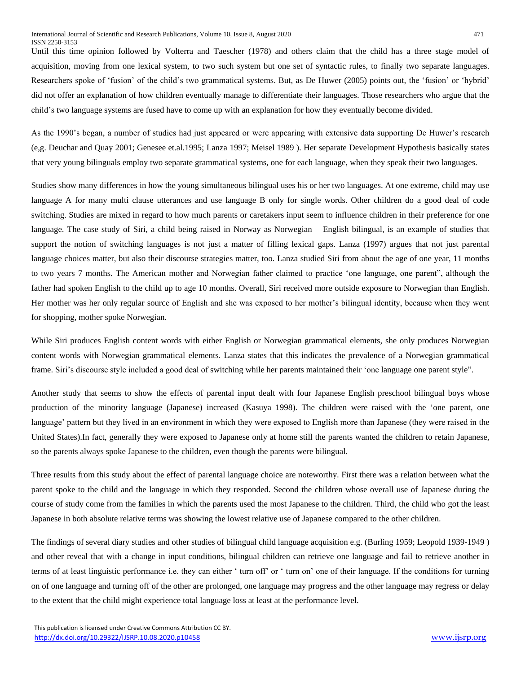Until this time opinion followed by Volterra and Taescher (1978) and others claim that the child has a three stage model of acquisition, moving from one lexical system, to two such system but one set of syntactic rules, to finally two separate languages. Researchers spoke of 'fusion' of the child's two grammatical systems. But, as De Huwer (2005) points out, the 'fusion' or 'hybrid' did not offer an explanation of how children eventually manage to differentiate their languages. Those researchers who argue that the child's two language systems are fused have to come up with an explanation for how they eventually become divided.

As the 1990's began, a number of studies had just appeared or were appearing with extensive data supporting De Huwer's research (e,g. Deuchar and Quay 2001; Genesee et.al.1995; Lanza 1997; Meisel 1989 ). Her separate Development Hypothesis basically states that very young bilinguals employ two separate grammatical systems, one for each language, when they speak their two languages.

Studies show many differences in how the young simultaneous bilingual uses his or her two languages. At one extreme, child may use language A for many multi clause utterances and use language B only for single words. Other children do a good deal of code switching. Studies are mixed in regard to how much parents or caretakers input seem to influence children in their preference for one language. The case study of Siri, a child being raised in Norway as Norwegian – English bilingual, is an example of studies that support the notion of switching languages is not just a matter of filling lexical gaps. Lanza (1997) argues that not just parental language choices matter, but also their discourse strategies matter, too. Lanza studied Siri from about the age of one year, 11 months to two years 7 months. The American mother and Norwegian father claimed to practice 'one language, one parent", although the father had spoken English to the child up to age 10 months. Overall, Siri received more outside exposure to Norwegian than English. Her mother was her only regular source of English and she was exposed to her mother's bilingual identity, because when they went for shopping, mother spoke Norwegian.

While Siri produces English content words with either English or Norwegian grammatical elements, she only produces Norwegian content words with Norwegian grammatical elements. Lanza states that this indicates the prevalence of a Norwegian grammatical frame. Siri's discourse style included a good deal of switching while her parents maintained their 'one language one parent style".

Another study that seems to show the effects of parental input dealt with four Japanese English preschool bilingual boys whose production of the minority language (Japanese) increased (Kasuya 1998). The children were raised with the 'one parent, one language' pattern but they lived in an environment in which they were exposed to English more than Japanese (they were raised in the United States).In fact, generally they were exposed to Japanese only at home still the parents wanted the children to retain Japanese, so the parents always spoke Japanese to the children, even though the parents were bilingual.

Three results from this study about the effect of parental language choice are noteworthy. First there was a relation between what the parent spoke to the child and the language in which they responded. Second the children whose overall use of Japanese during the course of study come from the families in which the parents used the most Japanese to the children. Third, the child who got the least Japanese in both absolute relative terms was showing the lowest relative use of Japanese compared to the other children.

The findings of several diary studies and other studies of bilingual child language acquisition e.g. (Burling 1959; Leopold 1939-1949 ) and other reveal that with a change in input conditions, bilingual children can retrieve one language and fail to retrieve another in terms of at least linguistic performance i.e. they can either ' turn off' or ' turn on' one of their language. If the conditions for turning on of one language and turning off of the other are prolonged, one language may progress and the other language may regress or delay to the extent that the child might experience total language loss at least at the performance level.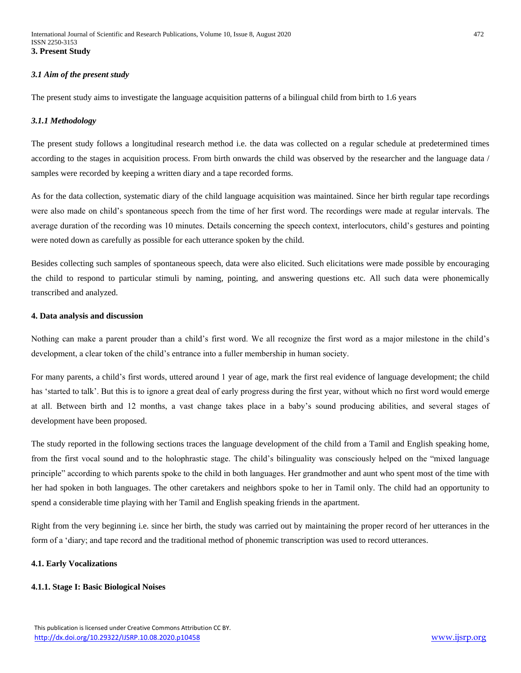## *3.1 Aim of the present study*

The present study aims to investigate the language acquisition patterns of a bilingual child from birth to 1.6 years

#### *3.1.1 Methodology*

The present study follows a longitudinal research method i.e. the data was collected on a regular schedule at predetermined times according to the stages in acquisition process. From birth onwards the child was observed by the researcher and the language data / samples were recorded by keeping a written diary and a tape recorded forms.

As for the data collection, systematic diary of the child language acquisition was maintained. Since her birth regular tape recordings were also made on child's spontaneous speech from the time of her first word. The recordings were made at regular intervals. The average duration of the recording was 10 minutes. Details concerning the speech context, interlocutors, child's gestures and pointing were noted down as carefully as possible for each utterance spoken by the child.

Besides collecting such samples of spontaneous speech, data were also elicited. Such elicitations were made possible by encouraging the child to respond to particular stimuli by naming, pointing, and answering questions etc. All such data were phonemically transcribed and analyzed.

#### **4. Data analysis and discussion**

Nothing can make a parent prouder than a child's first word. We all recognize the first word as a major milestone in the child's development, a clear token of the child's entrance into a fuller membership in human society.

For many parents, a child's first words, uttered around 1 year of age, mark the first real evidence of language development; the child has 'started to talk'. But this is to ignore a great deal of early progress during the first year, without which no first word would emerge at all. Between birth and 12 months, a vast change takes place in a baby's sound producing abilities, and several stages of development have been proposed.

The study reported in the following sections traces the language development of the child from a Tamil and English speaking home, from the first vocal sound and to the holophrastic stage. The child's bilinguality was consciously helped on the "mixed language principle" according to which parents spoke to the child in both languages. Her grandmother and aunt who spent most of the time with her had spoken in both languages. The other caretakers and neighbors spoke to her in Tamil only. The child had an opportunity to spend a considerable time playing with her Tamil and English speaking friends in the apartment.

Right from the very beginning i.e. since her birth, the study was carried out by maintaining the proper record of her utterances in the form of a 'diary; and tape record and the traditional method of phonemic transcription was used to record utterances.

# **4.1. Early Vocalizations**

#### **4.1.1. Stage I: Basic Biological Noises**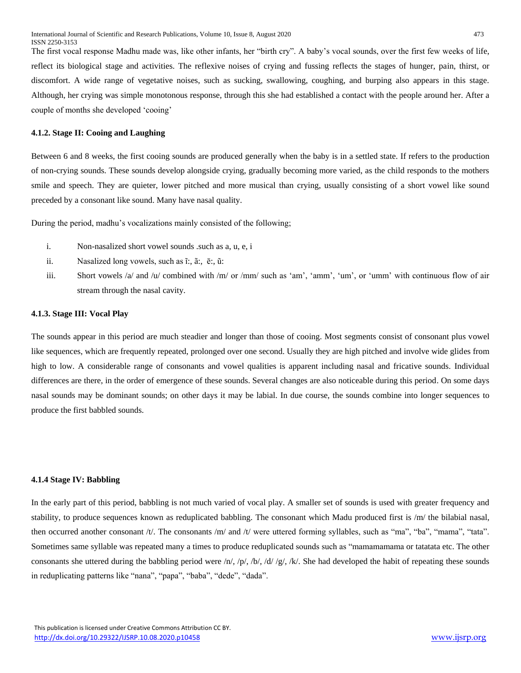The first vocal response Madhu made was, like other infants, her "birth cry". A baby's vocal sounds, over the first few weeks of life, reflect its biological stage and activities. The reflexive noises of crying and fussing reflects the stages of hunger, pain, thirst, or discomfort. A wide range of vegetative noises, such as sucking, swallowing, coughing, and burping also appears in this stage. Although, her crying was simple monotonous response, through this she had established a contact with the people around her. After a couple of months she developed 'cooing'

#### **4.1.2. Stage II: Cooing and Laughing**

Between 6 and 8 weeks, the first cooing sounds are produced generally when the baby is in a settled state. If refers to the production of non-crying sounds. These sounds develop alongside crying, gradually becoming more varied, as the child responds to the mothers smile and speech. They are quieter, lower pitched and more musical than crying, usually consisting of a short vowel like sound preceded by a consonant like sound. Many have nasal quality.

During the period, madhu's vocalizations mainly consisted of the following;

- i. Non-nasalized short vowel sounds .such as a, u, e, i
- ii. Nasalized long vowels, such as ĩ:, ã:, ē:, ũ:
- iii. Short vowels /a/ and /u/ combined with /m/ or /mm/ such as 'am', 'amm', 'um', or 'umm' with continuous flow of air stream through the nasal cavity.

#### **4.1.3. Stage III: Vocal Play**

The sounds appear in this period are much steadier and longer than those of cooing. Most segments consist of consonant plus vowel like sequences, which are frequently repeated, prolonged over one second. Usually they are high pitched and involve wide glides from high to low. A considerable range of consonants and vowel qualities is apparent including nasal and fricative sounds. Individual differences are there, in the order of emergence of these sounds. Several changes are also noticeable during this period. On some days nasal sounds may be dominant sounds; on other days it may be labial. In due course, the sounds combine into longer sequences to produce the first babbled sounds.

#### **4.1.4 Stage IV: Babbling**

In the early part of this period, babbling is not much varied of vocal play. A smaller set of sounds is used with greater frequency and stability, to produce sequences known as reduplicated babbling. The consonant which Madu produced first is /m/ the bilabial nasal, then occurred another consonant /t/. The consonants /m/ and /t/ were uttered forming syllables, such as "ma", "ba", "mama", "tata". Sometimes same syllable was repeated many a times to produce reduplicated sounds such as "mamamamama or tatatata etc. The other consonants she uttered during the babbling period were  $/n/$ ,  $/p/$ ,  $/b/$ ,  $/d//g/$ ,  $/k/$ . She had developed the habit of repeating these sounds in reduplicating patterns like "nana", "papa", "baba", "dede", "dada".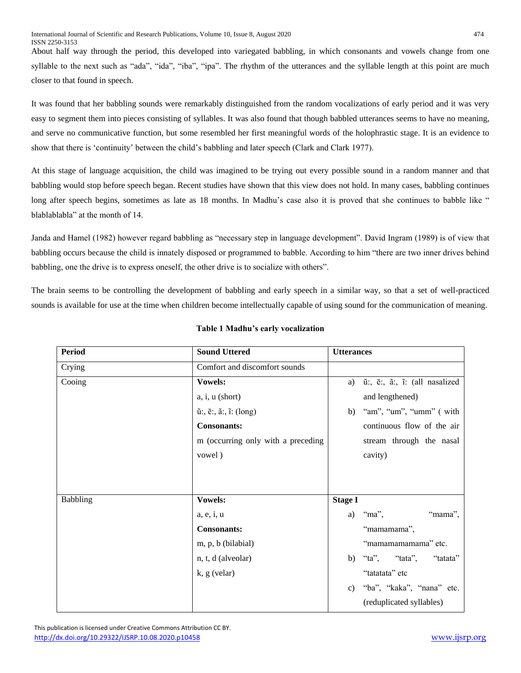About half way through the period, this developed into variegated babbling, in which consonants and vowels change from one syllable to the next such as "ada", "ida", "iba", "ipa". The rhythm of the utterances and the syllable length at this point are much closer to that found in speech.

It was found that her babbling sounds were remarkably distinguished from the random vocalizations of early period and it was very easy to segment them into pieces consisting of syllables. It was also found that though babbled utterances seems to have no meaning, and serve no communicative function, but some resembled her first meaningful words of the holophrastic stage. It is an evidence to show that there is 'continuity' between the child's babbling and later speech (Clark and Clark 1977).

At this stage of language acquisition, the child was imagined to be trying out every possible sound in a random manner and that babbling would stop before speech began. Recent studies have shown that this view does not hold. In many cases, babbling continues long after speech begins, sometimes as late as 18 months. In Madhu's case also it is proved that she continues to babble like " blablablabla" at the month of 14.

Janda and Hamel (1982) however regard babbling as "necessary step in language development". David Ingram (1989) is of view that babbling occurs because the child is innately disposed or programmed to babble. According to him "there are two inner drives behind babbling, one the drive is to express oneself, the other drive is to socialize with others".

The brain seems to be controlling the development of babbling and early speech in a similar way, so that a set of well-practiced sounds is available for use at the time when children become intellectually capable of using sound for the communication of meaning.

| <b>Period</b> | <b>Sound Uttered</b>                                            | <b>Utterances</b>                   |
|---------------|-----------------------------------------------------------------|-------------------------------------|
| Crying        | Comfort and discomfort sounds                                   |                                     |
| Cooing        | Vowels:                                                         | ũ:, ē:, ã:, ĩ: (all nasalized<br>a) |
|               | $a, i, u$ (short)                                               | and lengthened)                     |
|               | $\tilde{u}$ :, $\bar{e}$ :, $\tilde{a}$ :, $\tilde{u}$ : (long) | "am", "um", "umm" (with<br>b)       |
|               | <b>Consonants:</b>                                              | continuous flow of the air          |
|               | m (occurring only with a preceding                              | stream through the nasal            |
|               | vowel)                                                          | cavity)                             |
|               |                                                                 |                                     |
|               |                                                                 |                                     |
| Babbling      | <b>Vowels:</b>                                                  | <b>Stage I</b>                      |
|               | a, e, i, u                                                      | "mama",<br>"ma",<br>a)              |
|               | <b>Consonants:</b>                                              | "mamamama",                         |
|               | m, p, b (bilabial)                                              | "mamamamamama" etc.                 |
|               | n, t, d (alveolar)                                              | "ta", "tata",<br>"tatata"<br>b)     |
|               | $k, g$ (velar)                                                  | "tatatata" etc                      |
|               |                                                                 | "ba", "kaka", "nana" etc.<br>c)     |
|               |                                                                 | (reduplicated syllables)            |

# **Table 1 Madhu's early vocalization**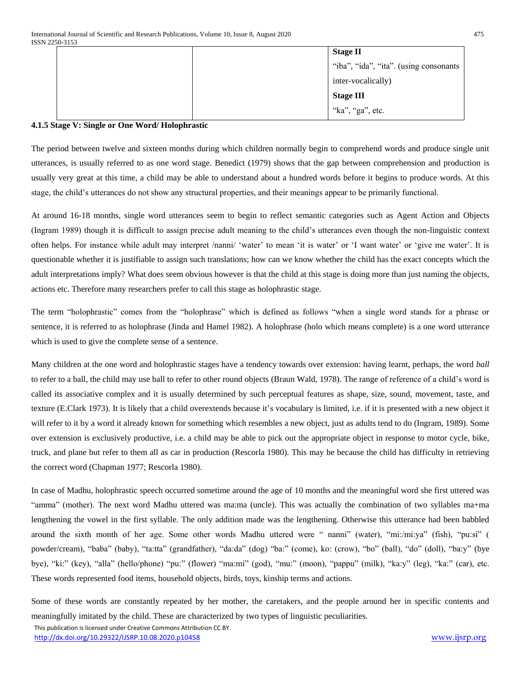|  | <b>Stage II</b>                        |
|--|----------------------------------------|
|  | "iba", "ida", "ita". (using consonants |
|  | inter-vocalically)                     |
|  | <b>Stage III</b>                       |
|  | "ka", "ga", etc.                       |

# **4.1.5 Stage V: Single or One Word/ Holophrastic**

The period between twelve and sixteen months during which children normally begin to comprehend words and produce single unit utterances, is usually referred to as one word stage. Benedict (1979) shows that the gap between comprehension and production is usually very great at this time, a child may be able to understand about a hundred words before it begins to produce words. At this stage, the child's utterances do not show any structural properties, and their meanings appear to be primarily functional.

At around 16-18 months, single word utterances seem to begin to reflect semantic categories such as Agent Action and Objects (Ingram 1989) though it is difficult to assign precise adult meaning to the child's utterances even though the non-linguistic context often helps. For instance while adult may interpret /nanni/ 'water' to mean 'it is water' or 'I want water' or 'give me water'. It is questionable whether it is justifiable to assign such translations; how can we know whether the child has the exact concepts which the adult interpretations imply? What does seem obvious however is that the child at this stage is doing more than just naming the objects, actions etc. Therefore many researchers prefer to call this stage as holophrastic stage.

The term "holophrastic" comes from the "holophrase" which is defined as follows "when a single word stands for a phrase or sentence, it is referred to as holophrase (Jinda and Hamel 1982). A holophrase (holo which means complete) is a one word utterance which is used to give the complete sense of a sentence.

Many children at the one word and holophrastic stages have a tendency towards over extension: having learnt, perhaps, the word *ball* to refer to a ball, the child may use ball to refer to other round objects (Braun Wald, 1978). The range of reference of a child's word is called its associative complex and it is usually determined by such perceptual features as shape, size, sound, movement, taste, and texture (E.Clark 1973). It is likely that a child overextends because it's vocabulary is limited, i.e. if it is presented with a new object it will refer to it by a word it already known for something which resembles a new object, just as adults tend to do (Ingram, 1989). Some over extension is exclusively productive, i.e. a child may be able to pick out the appropriate object in response to motor cycle, bike, truck, and plane but refer to them all as car in production (Rescorla 1980). This may be because the child has difficulty in retrieving the correct word (Chapman 1977; Rescorla 1980).

In case of Madhu, holophrastic speech occurred sometime around the age of 10 months and the meaningful word she first uttered was "amma" (mother). The next word Madhu uttered was ma:ma (uncle). This was actually the combination of two syllables ma+ma lengthening the vowel in the first syllable. The only addition made was the lengthening. Otherwise this utterance had been babbled around the sixth month of her age. Some other words Madhu uttered were " nanni" (water), "mi:/mi:ya" (fish), "pu:si" ( powder/cream), "baba" (baby), "ta:tta" (grandfather), "da:da" (dog) "ba:" (come), ko: (crow), "bo" (ball), "do" (doll), "ba:y" (bye bye), "ki:" (key), "alla" (hello/phone) "pu:" (flower) "ma:mi" (god), "mu:" (moon), "pappu" (milk), "ka:y" (leg), "ka:" (car), etc. These words represented food items, household objects, birds, toys, kinship terms and actions.

Some of these words are constantly repeated by her mother, the caretakers, and the people around her in specific contents and meaningfully imitated by the child. These are characterized by two types of linguistic peculiarities.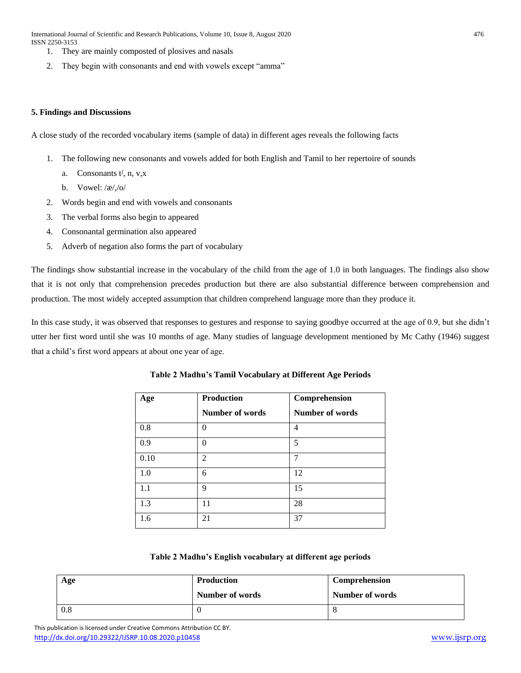International Journal of Scientific and Research Publications, Volume 10, Issue 8, August 2020 476 ISSN 2250-3153

- 1. They are mainly composted of plosives and nasals
- 2. They begin with consonants and end with vowels except "amma"

# **5. Findings and Discussions**

A close study of the recorded vocabulary items (sample of data) in different ages reveals the following facts

- 1. The following new consonants and vowels added for both English and Tamil to her repertoire of sounds
	- a. Consonants  $t^f$ , n, v,x
	- b. Vowel: /æ/,/o/
- 2. Words begin and end with vowels and consonants
- 3. The verbal forms also begin to appeared
- 4. Consonantal germination also appeared
- 5. Adverb of negation also forms the part of vocabulary

The findings show substantial increase in the vocabulary of the child from the age of 1.0 in both languages. The findings also show that it is not only that comprehension precedes production but there are also substantial difference between comprehension and production. The most widely accepted assumption that children comprehend language more than they produce it.

In this case study, it was observed that responses to gestures and response to saying goodbye occurred at the age of 0.9, but she didn't utter her first word until she was 10 months of age. Many studies of language development mentioned by Mc Cathy (1946) suggest that a child's first word appears at about one year of age.

| Age  | <b>Production</b> | Comprehension          |
|------|-------------------|------------------------|
|      | Number of words   | <b>Number of words</b> |
| 0.8  | 0                 | 4                      |
| 0.9  | $\Omega$          | 5                      |
| 0.10 | $\overline{2}$    | 7                      |
| 1.0  | 6                 | 12                     |
| 1.1  | 9                 | 15                     |
| 1.3  | 11                | 28                     |
| 1.6  | 21                | 37                     |

# **Table 2 Madhu's Tamil Vocabulary at Different Age Periods**

## **Table 2 Madhu's English vocabulary at different age periods**

| Age | <b>Production</b> | Comprehension   |
|-----|-------------------|-----------------|
|     | Number of words   | Number of words |
| 0.8 |                   |                 |

 This publication is licensed under Creative Commons Attribution CC BY. <http://dx.doi.org/10.29322/IJSRP.10.08.2020.p10458> [www.ijsrp.org](http://ijsrp.org/)